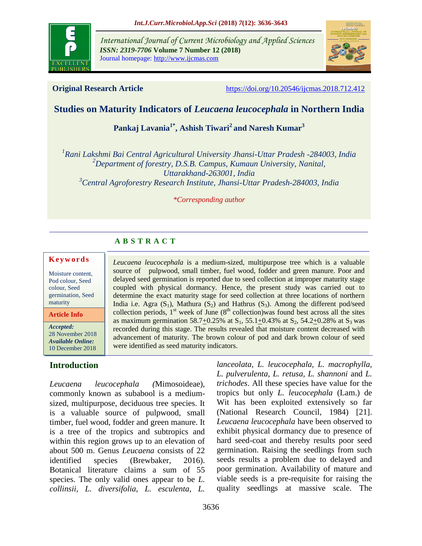

*International Journal of Current Microbiology and Applied Sciences ISSN: 2319-7706* **Volume 7 Number 12 (2018)**  Journal homepage: http://www.ijcmas.com



**Original Research Article** <https://doi.org/10.20546/ijcmas.2018.712.412>

*lanceolata, L. leucocephala, L. macrophylla, L. pulverulenta, L. retusa, L. shannoni* and *L. trichodes*. All these species have value for the tropics but only *L. leucocephala* (Lam.) de Wit has been exploited extensively so far (National Research Council, 1984) [21]. *Leucaena leucocephala* have been observed to exhibit physical dormancy due to presence of hard seed-coat and thereby results poor seed germination. Raising the seedlings from such

# **Studies on Maturity Indicators of** *Leucaena leucocephala* **in Northern India**

**Pankaj Lavania1\* , Ashish Tiwari<sup>2</sup> and Naresh Kumar<sup>3</sup>**

 *Rani Lakshmi Bai Central Agricultural University Jhansi-Uttar Pradesh -284003, India Department of forestry, D.S.B. Campus, Kumaun University, Nanital, Uttarakhand-263001, India Central Agroforestry Research Institute, Jhansi-Uttar Pradesh-284003, India*

#### *\*Corresponding author*

*Leucaena leucocephala* is a medium-sized, multipurpose tree which is a valuable source of pulpwood, small timber, fuel wood, fodder and green manure. Poor and delayed seed germination is reported due to seed collection at improper maturity stage coupled with physical dormancy. Hence, the present study was carried out to determine the exact maturity stage for seed collection at three locations of northern India i.e. Agra  $(S_1)$ , Mathura  $(S_2)$  and Hathrus  $(S_3)$ . Among the different pod/seed collection periods,  $1<sup>st</sup>$  week of June ( $8<sup>th</sup>$  collection)was found best across all the sites as maximum germination 58.7 $\pm$ 0.25% at S<sub>1</sub>, 55.1 $\pm$ 0.43% at S<sub>2</sub>, 54.2 $\pm$ 0.28% at S<sub>3</sub> was recorded during this stage. The results revealed that moisture content decreased with advancement of maturity. The brown colour of pod and dark brown colour of seed

# **A B S T R A C T**

were identified as seed maturity indicators.

#### **K e y w o r d s**

Moisture content, Pod colour, Seed colour, Seed germination, Seed maturity

**Article Info**

*Accepted:*  28 November 2018 *Available Online:* 10 December 2018

## **Introduction**

*Leucaena leucocephala (*Mimosoideae), commonly known as subabool is a mediumsized, multipurpose, deciduous tree species. It is a valuable source of pulpwood, small timber, fuel wood, fodder and green manure. It is a tree of the tropics and subtropics and within this region grows up to an elevation of about 500 m. Genus *Leucaena* consists of 22 identified species (Brewbaker, 2016). Botanical literature claims a sum of 55 species. The only valid ones appear to be *L. collinsii, L. diversifolia, L. esculenta, L.*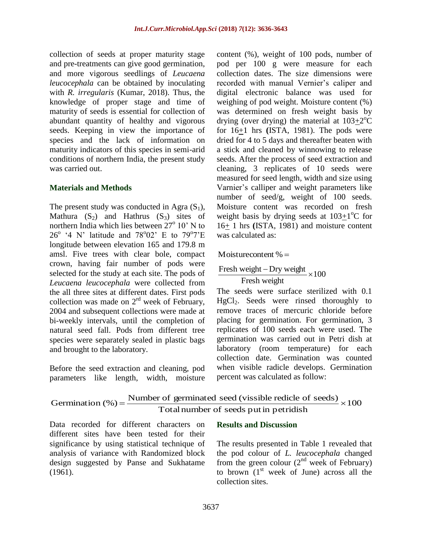collection of seeds at proper maturity stage and pre-treatments can give good germination, and more vigorous seedlings of *Leucaena leucocephala* can be obtained by inoculating with *R. irregularis* (Kumar, 2018). Thus, the knowledge of proper stage and time of maturity of seeds is essential for collection of abundant quantity of healthy and vigorous seeds. Keeping in view the importance of species and the lack of information on maturity indicators of this species in semi-arid conditions of northern India, the present study was carried out.

## **Materials and Methods**

The present study was conducted in Agra  $(S_1)$ , Mathura  $(S_2)$  and Hathrus  $(S_3)$  sites of northern India which lies between  $27^{\circ}$  10' N to  $26^{\circ}$  '4 N' latitude and 78°02' E to 79°7'E longitude between elevation 165 and 179.8 m amsl. Five trees with clear bole, compact crown, having fair number of pods were selected for the study at each site. The pods of *Leucaena leucocephala* were collected from the all three sites at different dates. First pods collection was made on  $2^{rd}$  week of February, 2004 and subsequent collections were made at bi-weekly intervals, until the completion of natural seed fall. Pods from different tree species were separately sealed in plastic bags and brought to the laboratory.

Before the seed extraction and cleaning, pod parameters like length, width, moisture content (%), weight of 100 pods, number of pod per 100 g were measure for each collection dates. The size dimensions were recorded with manual Vernier's caliper and digital electronic balance was used for weighing of pod weight. Moisture content (%) was determined on fresh weight basis by drying (over drying) the material at  $103 \pm 2^{\circ}$ C for 16+1 hrs **(**ISTA, 1981). The pods were dried for 4 to 5 days and thereafter beaten with a stick and cleaned by winnowing to release seeds. After the process of seed extraction and cleaning, 3 replicates of 10 seeds were measured for seed length, width and size using Varnier's calliper and weight parameters like number of seed/g, weight of 100 seeds. Moisture content was recorded on fresh weight basis by drying seeds at  $103 \pm 1$ <sup>o</sup>C for 16+ 1 hrs **(**ISTA, 1981) and moisture content was calculated as:

Moisturecontent  $% =$ 

$$
\frac{\text{Fresh weight} - \text{Dry weight}}{\text{Fresh weight}} \times 100
$$

The seeds were surface sterilized with 0.1 HgCl<sub>2</sub>. Seeds were rinsed thoroughly to remove traces of mercuric chloride before placing for germination. For germination, 3 replicates of 100 seeds each were used. The germination was carried out in Petri dish at laboratory (room temperature) for each collection date. Germination was counted when visible radicle develops. Germination percent was calculated as follow:

```
100
                            Totalnumber of seeds put in petridish
Germination (\%) = Number of germinated seed (vissible redicle of seeds) \times
```
Data recorded for different characters on different sites have been tested for their significance by using statistical technique of analysis of variance with Randomized block design suggested by Panse and Sukhatame (1961).

## **Results and Discussion**

The results presented in Table 1 revealed that the pod colour of *L. leucocephala* changed from the green colour  $(2^{nd}$  week of February) to brown  $(1<sup>st</sup>$  week of June) across all the collection sites.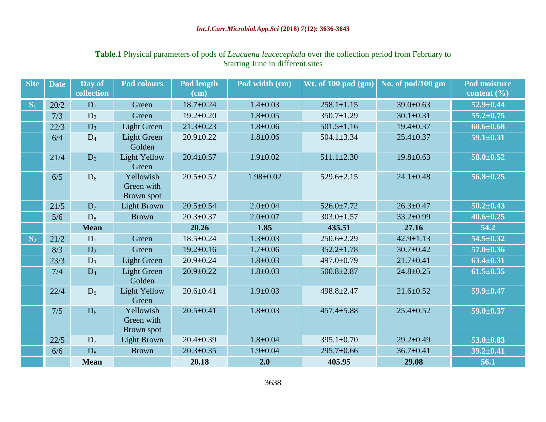# **Table.1** Physical parameters of pods of *Leucaena leucecephala* over the collection period from February to Starting June in different sites

| <b>Site</b> | <b>Date</b> | Day of      | <b>Pod colours</b>                    | Pod length      | Pod width (cm)  | Wt. of 100 pod (gm) | No. of pod/100 gm | <b>Pod moisture</b> |
|-------------|-------------|-------------|---------------------------------------|-----------------|-----------------|---------------------|-------------------|---------------------|
|             |             | collection  |                                       | $(cm)$          |                 |                     |                   | content $(\% )$     |
| $S_1$       | 20/2        | $D_1$       | Green                                 | $18.7 \pm 0.24$ | $1.4 \pm 0.03$  | $258.1 \pm 1.15$    | $39.0 \pm 0.63$   | $52.9 \pm 0.44$     |
|             | 7/3         | $D_2$       | Green                                 | $19.2 \pm 0.20$ | $1.8 \pm 0.05$  | $350.7 \pm 1.29$    | $30.1 \pm 0.31$   | $55.2 \pm 0.75$     |
|             | 22/3        | $D_3$       | <b>Light Green</b>                    | $21.3 \pm 0.23$ | $1.8 \pm 0.06$  | $501.5 \pm 1.16$    | $19.4 \pm 0.37$   | $60.6 \pm 0.68$     |
|             | 6/4         | $D_4$       | <b>Light Green</b><br>Golden          | $20.9 \pm 0.22$ | $1.8 \pm 0.06$  | $504.1 \pm 3.34$    | $25.4 \pm 0.37$   | $59.1 \pm 0.31$     |
|             | 21/4        | $D_5$       | <b>Light Yellow</b><br>Green          | $20.4 \pm 0.57$ | $1.9 \pm 0.02$  | $511.1 \pm 2.30$    | $19.8 \pm 0.63$   | $58.0 \pm 0.52$     |
|             | 6/5         | $D_6$       | Yellowish<br>Green with<br>Brown spot | $20.5 \pm 0.52$ | $1.98 \pm 0.02$ | $529.6 \pm 2.15$    | $24.1 \pm 0.48$   | $56.8 \pm 0.25$     |
|             | $21/5$      | $D_7$       | Light Brown                           | $20.5 \pm 0.54$ | $2.0 \pm 0.04$  | $526.0 \pm 7.72$    | $26.3 \pm 0.47$   | $50.2 \pm 0.43$     |
|             | 5/6         | $D_8$       | <b>Brown</b>                          | $20.3 \pm 0.37$ | $2.0 \pm 0.07$  | $303.0 \pm 1.57$    | $33.2 \pm 0.99$   | $40.6 \pm 0.25$     |
|             |             | <b>Mean</b> |                                       | 20.26           | 1.85            | 435.51              | 27.16             | 54.2                |
| $S_2$       | 21/2        | $D_1$       | Green                                 | $18.5 \pm 0.24$ | $1.3 \pm 0.03$  | $250.6 \pm 2.29$    | $42.9 \pm 1.13$   | $54.5 \pm 0.32$     |
|             | 8/3         | $D_2$       | Green                                 | $19.2 \pm 0.16$ | $1.7 \pm 0.06$  | $352.2 \pm 1.78$    | $30.7 \pm 0.42$   | $57.0 \pm 0.36$     |
|             | 23/3        | $D_3$       | <b>Light Green</b>                    | $20.9 \pm 0.24$ | $1.8 \pm 0.03$  | $497.0 \pm 0.79$    | $21.7 \pm 0.41$   | $63.4 \pm 0.31$     |
|             | 7/4         | $D_4$       | <b>Light Green</b><br>Golden          | $20.9 \pm 0.22$ | $1.8 \pm 0.03$  | $500.8 \pm 2.87$    | $24.8 \pm 0.25$   | $61.5 \pm 0.35$     |
|             | 22/4        | $D_5$       | <b>Light Yellow</b><br>Green          | $20.6 \pm 0.41$ | $1.9 \pm 0.03$  | 498.8±2.47          | $21.6 \pm 0.52$   | $59.9 \pm 0.47$     |
|             | 7/5         | $D_6$       | Yellowish<br>Green with<br>Brown spot | $20.5 \pm 0.41$ | $1.8 \pm 0.03$  | $457.4 \pm 5.88$    | $25.4 \pm 0.52$   | $59.0 \pm 0.37$     |
|             | 22/5        | $D_7$       | <b>Light Brown</b>                    | $20.4 \pm 0.39$ | $1.8 \pm 0.04$  | $395.1 \pm 0.70$    | $29.2 \pm 0.49$   | $53.0 \pm 0.83$     |
|             | 6/6         | $D_8$       | <b>Brown</b>                          | $20.3 \pm 0.35$ | $1.9 \pm 0.04$  | $295.7 \pm 0.66$    | $36.7 \pm 0.41$   | $39.2 \pm 0.41$     |
|             |             | <b>Mean</b> |                                       | 20.18           | 2.0             | 405.95              | 29.08             | 56.1                |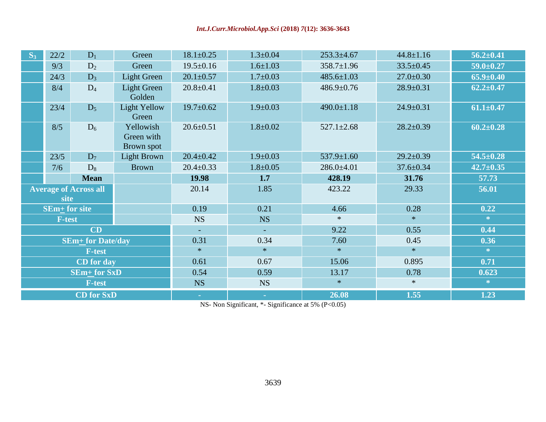| $S_3$ | 22/2<br>$D_1$<br>Green                                |                                       | $18.1 \pm 0.25$              | $1.3 \pm 0.04$  | $253.3 + 4.67$   | $44.8 \pm 1.16$  | $56.2 \pm 0.41$ |                 |
|-------|-------------------------------------------------------|---------------------------------------|------------------------------|-----------------|------------------|------------------|-----------------|-----------------|
|       | 9/3<br>Green<br>$D_2$                                 |                                       | $19.5 \pm 0.16$              | $1.6 \pm 1.03$  | $358.7 \pm 1.96$ | $33.5 \pm 0.45$  | $59.0 \pm 0.27$ |                 |
|       | <b>Light Green</b><br>24/3<br>$D_3$                   |                                       | $20.1 \pm 0.57$              | $1.7 \pm 0.03$  | $485.6 \pm 1.03$ | $27.0 \pm 0.30$  | $65.9 \pm 0.40$ |                 |
|       | 8/4                                                   | <b>Light Green</b><br>$D_4$<br>Golden |                              | $20.8 \pm 0.41$ | $1.8 \pm 0.03$   | $486.9 \pm 0.76$ | $28.9 \pm 0.31$ | $62.2 \pm 0.47$ |
|       | 23/4                                                  | $D_5$                                 | <b>Light Yellow</b><br>Green | $19.7 \pm 0.62$ | $1.9 \pm 0.03$   | $490.0 \pm 1.18$ | $24.9 \pm 0.31$ | $61.1 \pm 0.47$ |
|       | 8/5<br>Yellowish<br>$D_6$<br>Green with<br>Brown spot |                                       | $20.6 \pm 0.51$              | $1.8 \pm 0.02$  | $527.1 \pm 2.68$ | $28.2 \pm 0.39$  | $60.2 \pm 0.28$ |                 |
|       | 23/5                                                  | Light Brown<br>$D_7$                  |                              | $20.4 \pm 0.42$ | $1.9 \pm 0.03$   | 537.9±1.60       | $29.2 \pm 0.39$ | $54.5 \pm 0.28$ |
|       | 7/6<br>$D_8$                                          |                                       | <b>Brown</b>                 | $20.4 \pm 0.33$ | $1.8 \pm 0.05$   | $286.0 \pm 4.01$ | $37.6 \pm 0.34$ | $42.7 \pm 0.35$ |
|       |                                                       |                                       |                              |                 |                  |                  |                 |                 |
|       |                                                       | <b>Mean</b>                           |                              | 19.98           | 1.7              | 428.19           | 31.76           | 57.73           |
|       | site                                                  | <b>Average of Across all</b>          |                              | 20.14           | 1.85             | 423.22           | 29.33           | 56.01           |
|       | <b>SEm</b> + for site                                 |                                       |                              | 0.19            | 0.21             | 4.66             | 0.28            | 0.22            |
|       | <b>F-test</b>                                         |                                       |                              | <b>NS</b>       | <b>NS</b>        | $\ast$           | $\ast$          | 察。              |
|       |                                                       | CD                                    |                              | $\equiv$        |                  | 9.22             | 0.55            | 0.44            |
|       |                                                       | <b>SEm<sup>+</sup></b> for Date/day   |                              | 0.31            | 0.34             | 7.60             | 0.45            | 0.36            |
|       |                                                       | <b>F-test</b>                         |                              | $\ast$          | $\ast$           | $\ast$           | $\ast$          | $\ll$           |
|       |                                                       | CD for day                            |                              | 0.61            | 0.67             | 15.06            | 0.895           | 0.71            |
|       |                                                       | <b>SEm+ for SxD</b>                   |                              | 0.54            | 0.59             | 13.17            | 0.78            | 0.623           |
|       |                                                       | <b>F-test</b>                         |                              | <b>NS</b>       | <b>NS</b>        | $\ast$           | $\ast$          | *               |

NS- Non Significant, \*- Significance at 5% (P<0.05)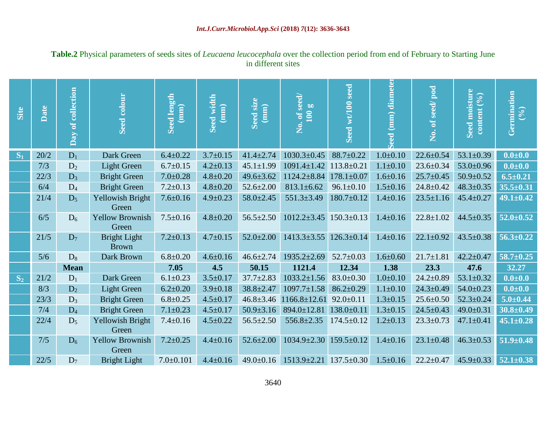| Site  | Date  | Day of collection | Seed colour                     | <b>Seed length</b><br>(mm) | Seed width<br>(mm) | Seed size<br>$(\overline{\text{mm}})$ | $\overline{\text{No. of seed}}$<br>100 g | Seed wt/100 seed | eed (mm) diameter | No. of seed/pod | Seed moisture<br>content (%) | Germination<br>(9/6) |
|-------|-------|-------------------|---------------------------------|----------------------------|--------------------|---------------------------------------|------------------------------------------|------------------|-------------------|-----------------|------------------------------|----------------------|
| $S_1$ | 20/2  | $D_1$             | Dark Green                      | $6.4 \pm 0.22$             | $3.7 \pm 0.15$     | $41.4 \pm 2.74$                       | $1030.3 \pm 0.45$                        | $88.7 \pm 0.22$  | $1.0 \pm 0.10$    | $22.6 \pm 0.54$ | $53.1 \pm 0.39$              | $0.0 + 0.0$          |
|       | 7/3   | $D_2$             | <b>Light Green</b>              | $6.7 \pm 0.15$             | $4.2 \pm 0.13$     | $45.1 \pm 1.99$                       | $1091.4 \pm 1.42$                        | $113.8 + 0.21$   | $1.1 \pm 0.10$    | $23.6 \pm 0.34$ | $53.0 \pm 0.96$              | $0.0 + 0.0$          |
|       | 22/3  | $D_3$             | <b>Bright Green</b>             | $7.0 \pm 0.28$             | $4.8 \pm 0.20$     | $49.6 \pm 3.62$                       | $1124.2 \pm 8.84$                        | $178.1 \pm 0.07$ | $1.6 \pm 0.16$    | $25.7 \pm 0.45$ | $50.9 \pm 0.52$              | $6.5 \pm 0.21$       |
|       | 6/4   | $D_4$             | <b>Bright Green</b>             | $7.2 \pm 0.13$             | $4.8 \pm 0.20$     | $52.6 \pm 2.00$                       | $813.1 \pm 6.62$                         | $96.1 \pm 0.10$  | $1.5 \pm 0.16$    | $24.8 \pm 0.42$ | $48.3 \pm 0.35$              | $35.5 \pm 0.31$      |
|       | 21/4  | $D_5$             | Yellowish Bright<br>Green       | $7.6 \pm 0.16$             | $4.9 \pm 0.23$     | $58.0 \pm 2.45$                       | $551.3 \pm 3.49$                         | $180.7 \pm 0.12$ | $1.4 \pm 0.16$    | $23.5 \pm 1.16$ | $45.4 \pm 0.27$              | $49.1 \pm 0.42$      |
|       | 6/5   | $D_6$             | <b>Yellow Brownish</b><br>Green | $7.5 \pm 0.16$             | $4.8 \pm 0.20$     | $56.5 \pm 2.50$                       | $1012.2 \pm 3.45$                        | $150.3 \pm 0.13$ | $1.4 \pm 0.16$    | $22.8 \pm 1.02$ | $44.5 \pm 0.35$              | $52.0 \pm 0.52$      |
|       | 21/5  | $D_7$             | Bright Light<br><b>Brown</b>    | $7.2 \pm 0.13$             | $4.7 \pm 0.15$     | $52.0 \pm 2.00$                       | $1413.3 \pm 3.55$                        | $126.3 \pm 0.14$ | $1.4 \pm 0.16$    | $22.1 \pm 0.92$ | $43.5 \pm 0.38$              | $56.3 \pm 0.22$      |
|       | $5/6$ | $D_8$             | Dark Brown                      | $6.8 + 0.20$               | $4.6 \pm 0.16$     | $46.6 \pm 2.74$                       | $1935.2 \pm 2.69$                        | $52.7 \pm 0.03$  | $1.6 \pm 0.60$    | $21.7 \pm 1.81$ | $42.2 \pm 0.47$              | $58.7 \pm 0.25$      |
|       |       | <b>Mean</b>       |                                 | 7.05                       | 4.5                | 50.15                                 | 1121.4                                   | 12.34            | 1.38              | 23.3            | 47.6                         | 32.27                |
| $S_2$ | 21/2  | $D_1$             | Dark Green                      | $6.1 \pm 0.23$             | $3.5 \pm 0.17$     | $37.7 \pm 2.83$                       | $1033.2 \pm 1.56$                        | $83.0 \pm 0.30$  | $1.0 \pm 0.10$    | $24.2 \pm 0.89$ | $53.1 \pm 0.32$              | $0.0 + 0.0$          |
|       | 8/3   | $D_2$             | <b>Light Green</b>              | $6.2 \pm 0.20$             | $3.9 \pm 0.18$     | $38.8 \pm 2.47$                       | $1097.7 \pm 1.58$                        | $86.2 \pm 0.29$  | $1.1 \pm 0.10$    | $24.3 \pm 0.49$ | $54.0 \pm 0.23$              | $0.0 + 0.0$          |
|       | 23/3  | $D_3$             | <b>Bright Green</b>             | $6.8 \pm 0.25$             | $4.5 \pm 0.17$     | $46.8 \pm 3.46$                       | $1166.8 \pm 12.61$                       | $92.0 \pm 0.11$  | $1.3 \pm 0.15$    | $25.6 \pm 0.50$ | $52.3 \pm 0.24$              | $5.0 + 0.44$         |
|       | 7/4   | $D_4$             | <b>Bright Green</b>             | $7.1 \pm 0.23$             | $4.5 \pm 0.17$     | $50.9 \pm 3.16$                       | 894.0±12.81                              | $138.0 \pm 0.11$ | $1.3 \pm 0.15$    | $24.5 \pm 0.43$ | $49.0 \pm 0.31$              | $30.8 \pm 0.49$      |
|       | 22/4  | $D_5$             | Yellowish Bright<br>Green       | $7.4 \pm 0.16$             | $4.5 \pm 0.22$     | $56.5 \pm 2.50$                       | $556.8 \pm 2.35$                         | $174.5 \pm 0.12$ | $1.2 \pm 0.13$    | $23.3 \pm 0.73$ | $47.1 \pm 0.41$              | $45.1 \pm 0.28$      |
|       | 7/5   | $D_6$             | <b>Yellow Brownish</b><br>Green | $7.2 \pm 0.25$             | $4.4 \pm 0.16$     | $52.6 \pm 2.00$                       | $1034.9 \pm 2.30$                        | $159.5 \pm 0.12$ | $1.4 \pm 0.16$    | $23.1 \pm 0.48$ | $46.3 \pm 0.53$              | $51.9 \pm 0.48$      |
|       | 22/5  | $D_7$             | <b>Bright Light</b>             | $7.0 \pm 0.101$            | $4.4 \pm 0.16$     | $49.0 \pm 0.16$                       | $1513.9 \pm 2.21$ $137.5 \pm 0.30$       |                  | $1.5 \pm 0.16$    | $22.2 \pm 0.47$ | $45.9 \pm 0.33$ 52.1±0.38    |                      |

# **Table.2** Physical parameters of seeds sites of *Leucaena leucocephala* over the collection period from end of February to Starting June in different sites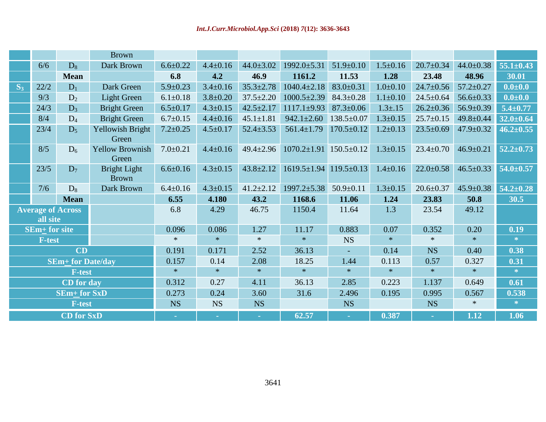|                                      |                 |                                                           | <b>Brown</b>                    |                             |                            |                             |                                    |                  |                |                             |                 |                 |
|--------------------------------------|-----------------|-----------------------------------------------------------|---------------------------------|-----------------------------|----------------------------|-----------------------------|------------------------------------|------------------|----------------|-----------------------------|-----------------|-----------------|
|                                      | 6/6             | $D_8$                                                     | Dark Brown                      | $6.6 \pm 0.22$              | $4.4 \pm 0.16$             | $44.0 \pm 3.02$             | $1992.0 \pm 5.31$                  | $51.9 \pm 0.10$  | $1.5 \pm 0.16$ | $20.7 \pm 0.34$             | $44.0 \pm 0.38$ | $55.1 \pm 0.43$ |
|                                      |                 | <b>Mean</b>                                               |                                 | 6.8                         | 4.2                        | 46.9                        | 1161.2                             | 11.53            | 1.28           | 23.48                       | 48.96           | 30.01           |
| $S_3$                                | 22/2            | $D_1$                                                     | Dark Green                      | $5.9 \pm 0.23$              | $3.4 \pm 0.16$             | $35.3 \pm 2.78$             | $1040.4 \pm 2.18$                  | $83.0 \pm 0.31$  | $1.0 \pm 0.10$ | $24.7 \pm 0.56$             | $57.2 \pm 0.27$ | $0.0 + 0.0$     |
|                                      | 9/3             | D <sub>2</sub>                                            | <b>Light Green</b>              | $6.1 \pm 0.18$              | $3.8 \pm 0.20$             | $37.5 \pm 2.20$             | $1000.5 \pm 2.39$                  | $84.3 \pm 0.28$  | $1.1 \pm 0.10$ | $24.5 \pm 0.64$             | $56.6 \pm 0.33$ | $0.0 + 0.0$     |
|                                      | 24/3            | $D_3$                                                     | <b>Bright Green</b>             | $6.5 \pm 0.17$              | $4.3 \pm 0.15$             | $42.5 \pm 2.17$             | $1117.1 \pm 9.93$                  | $87.3 \pm 0.06$  | $1.3 \pm .15$  | $26.2 \pm 0.36$             | $56.9 \pm 0.39$ | $5.4 \pm 0.77$  |
|                                      | 8/4             | $D_4$                                                     | <b>Bright Green</b>             | $6.7 \pm 0.15$              | $4.4 \pm 0.16$             | $45.1 \pm 1.81$             | $942.1 \pm 2.60$                   | $138.5 \pm 0.07$ | $1.3 \pm 0.15$ | $25.7 \pm 0.15$             | $49.8 \pm 0.44$ | $32.0 \pm 0.64$ |
|                                      | 23/4            | $D_5$                                                     | Yellowish Bright<br>Green       | $7.2 \pm 0.25$              | $4.5 \pm 0.17$             | $52.4 \pm 3.53$             | $561.4 \pm 1.79$                   | $170.5 \pm 0.12$ | $1.2 \pm 0.13$ | $23.5 \pm 0.69$             | $47.9 \pm 0.32$ | $46.2 \pm 0.55$ |
|                                      | 8/5             | $D_6$                                                     | <b>Yellow Brownish</b><br>Green | $7.0 \pm 0.21$              | $4.4 \pm 0.16$             | $49.4 \pm 2.96$             | $1070.2 \pm 1.91$ 150.5 $\pm$ 0.12 |                  | $1.3 \pm 0.15$ | $23.4 \pm 0.70$             | $46.9 \pm 0.21$ | $52.2 \pm 0.73$ |
|                                      | 23/5            | $D_7$                                                     | Bright Light<br><b>Brown</b>    | $6.6 \pm 0.16$              | $4.3 \pm 0.15$             | $43.8 \pm 2.12$             | $1619.5 \pm 1.94$ 119.5 $\pm$ 0.13 |                  | $1.4 \pm 0.16$ | $22.0 \pm 0.58$             | $46.5 \pm 0.33$ | $54.0 \pm 0.57$ |
|                                      | 7/6             | $D_8$                                                     | Dark Brown                      | $6.4 \pm 0.16$              | $4.3 \pm 0.15$             | $41.2 \pm 2.12$             | $1997.2 \pm 5.38$                  | $50.9 \pm 0.11$  | $1.3 \pm 0.15$ | $20.6 \pm 0.37$             | $45.9 \pm 0.38$ | $54.2 \pm 0.28$ |
|                                      |                 | <b>Mean</b>                                               |                                 | 6.55                        | 4.180                      | 43.2                        | 1168.6                             | 11.06            | 1.24           | 23.83                       | 50.8            | 30.5            |
| <b>Average of Across</b><br>all site |                 |                                                           | 6.8                             | 4.29                        | 46.75                      | 1150.4                      | 11.64                              | 1.3              | 23.54          | 49.12                       |                 |                 |
|                                      | $SEm+$ for site |                                                           |                                 | 0.096                       | 0.086                      | 1.27                        | 11.17                              | 0.883            | 0.07           | 0.352                       | 0.20            | 0.19            |
|                                      | <b>F-test</b>   |                                                           |                                 | $\ast$                      | $\ast$                     | $\ast$                      | $\ast$                             | <b>NS</b>        | $\ast$         | $\ast$                      | $\ast$          | $\ast$          |
| CD                                   |                 |                                                           |                                 | 0.191                       | 0.171                      | 2.52                        | 36.13                              |                  | 0.14           | <b>NS</b>                   | 0.40            | 0.38            |
|                                      |                 | <b>SEm+ for Date/day</b>                                  |                                 | 0.157                       | 0.14                       | 2.08                        | 18.25                              | 1.44             | 0.113          | 0.57                        | 0.327           | 0.31            |
| <b>F-test</b>                        |                 |                                                           |                                 | $\ast$                      | $\ast$                     | $\ast$                      | $\ast$                             | $*$              | $\ast$         | $\ast$                      | $\ast$          | $\approx$       |
| CD for day                           |                 |                                                           |                                 | 0.312                       | 0.27                       | 4.11                        | 36.13                              | 2.85             | 0.223          | 1.137                       | 0.649           | 0.61            |
|                                      |                 | <b>SEm+ for SxD</b>                                       |                                 | 0.273                       | 0.24                       | 3.60                        | 31.6                               | 2.496            | 0.195          | 0.995                       | 0.567           | 0.538           |
|                                      |                 | <b>F-test</b>                                             |                                 | <b>NS</b>                   | <b>NS</b>                  | <b>NS</b>                   |                                    | <b>NS</b>        |                | <b>NS</b>                   | $\ast$          | $\gg$           |
|                                      |                 | $\overline{\text{CD}}$ for $\overline{\text{S}}\text{xD}$ |                                 | $\mathcal{L}_{\mathcal{A}}$ | $\mathcal{L}_{\mathrm{c}}$ | $\mathcal{L}_{\mathcal{A}}$ | 62.57                              | $\sim$           | 0.387          | $\mathcal{L}_{\mathcal{A}}$ | 1.12            | 1.06            |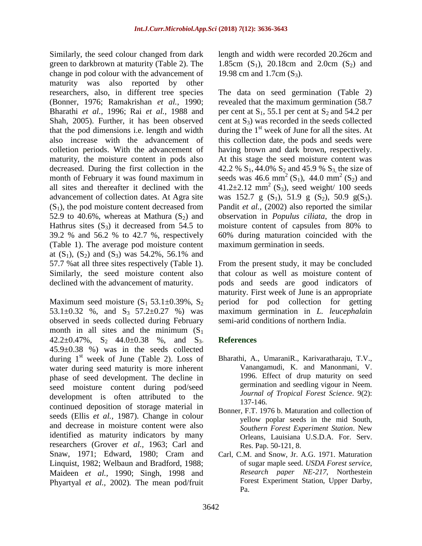Similarly, the seed colour changed from dark green to darkbrown at maturity (Table 2). The change in pod colour with the advancement of maturity was also reported by other researchers, also, in different tree species (Bonner, 1976; Ramakrishan *et al.,* 1990; Bharathi *et al.,* 1996; Rai *et al.,* 1988 and Shah, 2005). Further, it has been observed that the pod dimensions i.e. length and width also increase with the advancement of colletion periods. With the advancement of maturity, the moisture content in pods also decreased. During the first collection in the month of February it was found maximum in all sites and thereafter it declined with the advancement of collection dates. At Agra site  $(S<sub>1</sub>)$ , the pod moisture content decreased from 52.9 to 40.6%, whereas at Mathura  $(S_2)$  and Hathrus sites  $(S_3)$  it decreased from 54.5 to 39.2 % and 56.2 % to 42.7 %, respectively (Table 1). The average pod moisture content at  $(S_1)$ ,  $(S_2)$  and  $(S_3)$  was 54.2%, 56.1% and 57.7 %at all three sites respectively (Table 1). Similarly, the seed moisture content also declined with the advancement of maturity.

Maximum seed moisture  $(S_1 53.1 \pm 0.39\% , S_2)$ 53.1 $\pm$ 0.32 %, and S<sub>3</sub> 57.2 $\pm$ 0.27 %) was observed in seeds collected during February month in all sites and the minimum  $(S_1)$ 42.2 $\pm$ 0.47%, S<sub>2</sub> 44.0 $\pm$ 0.38 %, and S<sub>3</sub>. 45.9±0.38 %) was in the seeds collected during  $1<sup>st</sup>$  week of June (Table 2). Loss of water during seed maturity is more inherent phase of seed development. The decline in seed moisture content during pod/seed development is often attributed to the continued deposition of storage material in seeds (Ellis *et al.,* 1987). Change in colour and decrease in moisture content were also identified as maturity indicators by many researchers (Grover *et al.,* 1963; Carl and Snaw, 1971; Edward, 1980; Cram and Linquist, 1982; Welbaun and Bradford, 1988; Maideen *et al.,* 1990; Singh, 1998 and Phyartyal *et al.,* 2002)*.* The mean pod/fruit length and width were recorded 20.26cm and 1.85cm  $(S_1)$ , 20.18cm and 2.0cm  $(S_2)$  and 19.98 cm and 1.7cm  $(S_3)$ .

The data on seed germination (Table 2) revealed that the maximum germination (58.7 per cent at  $S_1$ , 55.1 per cent at  $S_2$  and 54.2 per cent at  $S_3$ ) was recorded in the seeds collected during the  $1<sup>st</sup>$  week of June for all the sites. At this collection date, the pods and seeds were having brown and dark brown, respectively. At this stage the seed moisture content was 42.2 %  $S_1$ , 44.0%  $S_2$  and 45.9 %  $S_3$  the size of seeds was 46.6 mm<sup>2</sup> (S<sub>1</sub>), 44.0 mm<sup>2</sup> (S<sub>2</sub>) and 41.2 $\pm$ 2.12 mm<sup>2</sup> (S<sub>3</sub>), seed weight/ 100 seeds was 152.7 g  $(S_1)$ , 51.9 g  $(S_2)$ , 50.9 g $(S_3)$ . Pandit *et al.,* (2002) also reported the similar observation in *Populus ciliata*, the drop in moisture content of capsules from 80% to 60% during maturation coincided with the maximum germination in seeds.

From the present study, it may be concluded that colour as well as moisture content of pods and seeds are good indicators of maturity. First week of June is an appropriate period for pod collection for getting maximum germination in *L. leucephala*in semi-arid conditions of northern India.

# **References**

- Bharathi, A., UmaraniR., Karivaratharaju, T.V., Vanangamudi, K. and Manonmani, V. 1996. Effect of drup maturity on seed germination and seedling vigour in Neem. *Journal of Tropical Forest Science*. 9(2): 137-146.
- Bonner, F.T. 1976 b. Maturation and collection of yellow poplar seeds in the mid South, *Southern Forest Experiment Station*. New Orleans, Lauisiana U.S.D.A. For. Serv. Res. Pap. 50-121, 8.
- Carl, C.M. and Snow, Jr. A.G. 1971. Maturation of sugar maple seed. *USDA Forest service, Research paper NE-217*, Northestein Forest Experiment Station, Upper Darby, Pa.